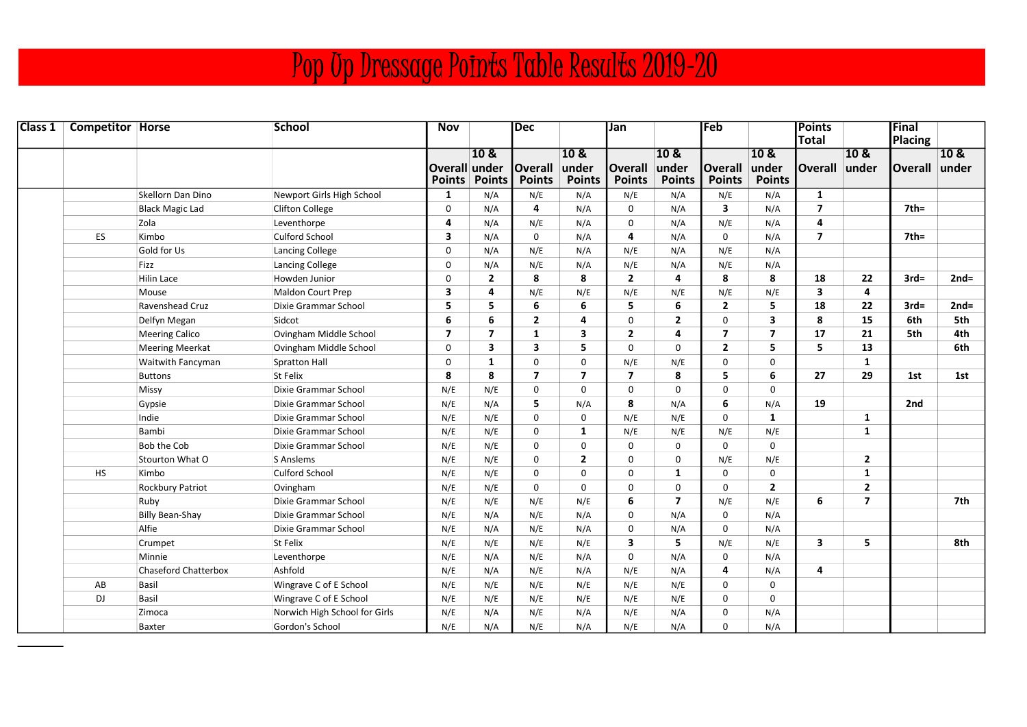## Pop Up Dressage Points Table Results 2019-20

| <b>Class 1</b> Competitor Horse |                             | <b>School</b>                 | <b>Nov</b>              |                | <b>Dec</b>     |                | Jan                     |                | <b> Feb</b>    |                          | Points<br>Total |                | <b>Final</b>    |        |
|---------------------------------|-----------------------------|-------------------------------|-------------------------|----------------|----------------|----------------|-------------------------|----------------|----------------|--------------------------|-----------------|----------------|-----------------|--------|
|                                 |                             |                               |                         | 10 &           |                | 10 &           |                         | 10&            |                | 10 &                     |                 | 10 &           | <b>Placing</b>  | 10&    |
|                                 |                             |                               | Overall under           |                | <b>Overall</b> | under          | <b>Overall</b>          | under          | <b>Overall</b> | under                    | <b>Overall</b>  | lunder         | Overall under   |        |
|                                 |                             |                               |                         | Points Points  | <b>Points</b>  | <b>Points</b>  | <b>Points</b>           | <b>Points</b>  | <b>Points</b>  | <b>Points</b>            |                 |                |                 |        |
|                                 | Skellorn Dan Dino           | Newport Girls High School     | $\mathbf{1}$            | N/A            | N/E            | N/A            | N/E                     | N/A            | N/E            | N/A                      | 1               |                |                 |        |
|                                 | <b>Black Magic Lad</b>      | <b>Clifton College</b>        | $\mathsf{O}$            | N/A            | 4              | N/A            | $\mathbf 0$             | N/A            | 3              | N/A                      | $\overline{7}$  |                | $7th =$         |        |
|                                 | Zola                        | Leventhorpe                   | 4                       | N/A            | N/E            | N/A            | $\mathbf 0$             | N/A            | N/E            | N/A                      | 4               |                |                 |        |
| <b>ES</b>                       | Kimbo                       | <b>Culford School</b>         | 3                       | N/A            | $\mathbf 0$    | N/A            | 4                       | N/A            | 0              | N/A                      | $\overline{7}$  |                | 7 <sub>th</sub> |        |
|                                 | Gold for Us                 | Lancing College               | $\mathbf 0$             | N/A            | N/E            | N/A            | N/E                     | N/A            | N/E            | N/A                      |                 |                |                 |        |
|                                 | Fizz                        | Lancing College               | $\mathbf 0$             | N/A            | N/E            | N/A            | N/E                     | N/A            | N/E            | N/A                      |                 |                |                 |        |
|                                 | <b>Hilin Lace</b>           | Howden Junior                 | $\mathbf 0$             | $\overline{2}$ | 8              | 8              | $\overline{2}$          | 4              | 8              | 8                        | 18              | 22             | $3rd=$          | $2nd=$ |
|                                 | Mouse                       | <b>Maldon Court Prep</b>      | $\overline{\mathbf{3}}$ | 4              | N/E            | N/E            | N/E                     | N/E            | N/E            | N/E                      | 3               | 4              |                 |        |
|                                 | Ravenshead Cruz             | Dixie Grammar School          | 5                       | 5              | 6              | 6              | 5                       | 6              | $\overline{2}$ | 5                        | 18              | 22             | $3rd=$          | $2nd=$ |
|                                 | Delfyn Megan                | Sidcot                        | 6                       | 6              | $\mathbf{2}$   | 4              | $\mathbf 0$             | $\mathbf{2}$   | 0              | 3                        | 8               | 15             | 6th             | 5th    |
|                                 | <b>Meering Calico</b>       | Ovingham Middle School        | $\overline{7}$          | $\overline{ }$ | 1              | 3              | $\overline{2}$          | 4              | $\overline{7}$ | $\overline{\phantom{a}}$ | 17              | 21             | 5th             | 4th    |
|                                 | <b>Meering Meerkat</b>      | Ovingham Middle School        | $\mathbf 0$             | 3              | 3              | 5              | $\mathbf 0$             | $\Omega$       | $\overline{2}$ | 5                        | 5               | 13             |                 | 6th    |
|                                 | Waitwith Fancyman           | Spratton Hall                 | $\mathbf 0$             | $\mathbf{1}$   | 0              | $\Omega$       | N/E                     | N/E            | 0              | $\mathbf 0$              |                 | $\mathbf{1}$   |                 |        |
|                                 | <b>Buttons</b>              | St Felix                      | 8                       | 8              | $\overline{7}$ | $\overline{7}$ | $\overline{7}$          | 8              | 5              | 6                        | 27              | 29             | 1st             | 1st    |
|                                 | Missy                       | Dixie Grammar School          | N/E                     | N/E            | 0              | $\Omega$       | $\mathbf{0}$            | $\Omega$       | $\Omega$       | $\mathbf 0$              |                 |                |                 |        |
|                                 | Gypsie                      | Dixie Grammar School          | N/E                     | N/A            | 5              | N/A            | 8                       | N/A            | 6              | N/A                      | 19              |                | 2nd             |        |
|                                 | Indie                       | Dixie Grammar School          | N/E                     | N/E            | 0              | $\mathbf 0$    | N/E                     | N/E            | 0              | $\mathbf{1}$             |                 | $\mathbf{1}$   |                 |        |
|                                 | Bambi                       | Dixie Grammar School          | N/E                     | N/E            | 0              | $\mathbf{1}$   | N/E                     | N/E            | N/E            | N/E                      |                 | $\mathbf{1}$   |                 |        |
|                                 | <b>Bob the Cob</b>          | Dixie Grammar School          | N/E                     | N/E            | 0              | 0              | $\mathbf 0$             | $\mathbf 0$    | $\mathbf 0$    | $\mathbf 0$              |                 |                |                 |        |
|                                 | Stourton What O             | S Anslems                     | N/E                     | N/E            | 0              | $\overline{2}$ | $\mathbf 0$             | $\mathbf 0$    | N/E            | N/E                      |                 | $\mathbf{2}$   |                 |        |
| <b>HS</b>                       | Kimbo                       | <b>Culford School</b>         | N/E                     | N/E            | 0              | $\Omega$       | 0                       | 1              | 0              | $\mathbf 0$              |                 | $\mathbf{1}$   |                 |        |
|                                 | <b>Rockbury Patriot</b>     | Ovingham                      | N/E                     | N/E            | $\Omega$       | $\Omega$       | $\Omega$                | $\Omega$       | $\Omega$       | $\overline{2}$           |                 | $\overline{2}$ |                 |        |
|                                 | Ruby                        | Dixie Grammar School          | N/E                     | N/E            | N/E            | N/E            | 6                       | $\overline{ }$ | N/E            | N/E                      | 6               | $\overline{7}$ |                 | 7th    |
|                                 | <b>Billy Bean-Shay</b>      | Dixie Grammar School          | N/E                     | N/A            | N/E            | N/A            | $\mathbf 0$             | N/A            | $\Omega$       | N/A                      |                 |                |                 |        |
|                                 | Alfie                       | Dixie Grammar School          | N/E                     | N/A            | N/E            | N/A            | $\mathbf 0$             | N/A            | 0              | N/A                      |                 |                |                 |        |
|                                 | Crumpet                     | <b>St Felix</b>               | N/E                     | N/E            | N/E            | N/E            | $\overline{\mathbf{3}}$ | 5              | N/E            | N/E                      | 3               | 5              |                 | 8th    |
|                                 | Minnie                      | Leventhorpe                   | N/E                     | N/A            | N/E            | N/A            | $\mathbf 0$             | N/A            | 0              | N/A                      |                 |                |                 |        |
|                                 | <b>Chaseford Chatterbox</b> | Ashfold                       | N/E                     | N/A            | N/E            | N/A            | N/E                     | N/A            | 4              | N/A                      | 4               |                |                 |        |
| AB                              | Basil                       | Wingrave C of E School        | N/E                     | N/E            | N/E            | N/E            | N/E                     | N/E            | 0              | 0                        |                 |                |                 |        |
| <b>DJ</b>                       | Basil                       | Wingrave C of E School        | N/E                     | N/E            | N/E            | N/E            | N/E                     | N/E            | 0              | 0                        |                 |                |                 |        |
|                                 | Zimoca                      | Norwich High School for Girls | N/E                     | N/A            | N/E            | N/A            | N/E                     | N/A            | 0              | N/A                      |                 |                |                 |        |
|                                 | Baxter                      | Gordon's School               | N/E                     | N/A            | N/E            | N/A            | N/E                     | N/A            | $\Omega$       | N/A                      |                 |                |                 |        |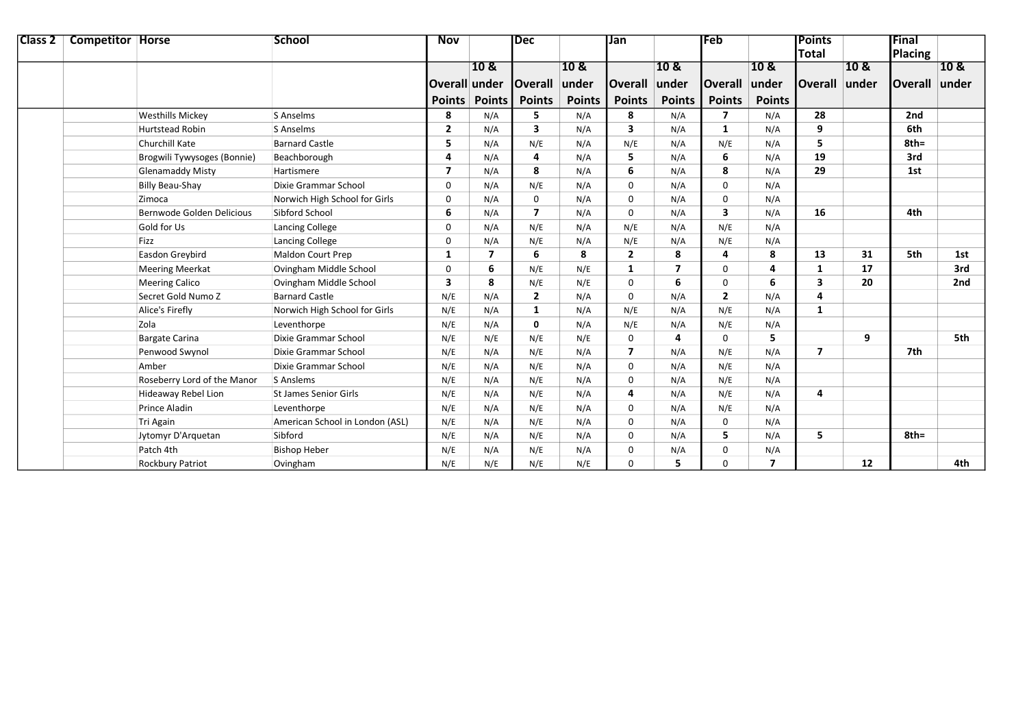| <b>Class 2   Competitor   Horse</b> |                             | <b>School</b>                   | <b>Nov</b>              |                 | Dec            |                 |                | Jan             |                         |                 | <b>IPoints</b> |      | Final           |       |
|-------------------------------------|-----------------------------|---------------------------------|-------------------------|-----------------|----------------|-----------------|----------------|-----------------|-------------------------|-----------------|----------------|------|-----------------|-------|
|                                     |                             |                                 |                         |                 |                |                 |                |                 |                         |                 | <b>Total</b>   |      | Placing         |       |
|                                     |                             |                                 |                         | 10 <sub>8</sub> |                | 10 <sub>8</sub> |                | 10 <sub>8</sub> |                         | 10 <sub>8</sub> |                | 10 & |                 | 10 &  |
|                                     |                             |                                 | Overall under           |                 | <b>Overall</b> | under           | <b>Overall</b> | under           | <b>Overall</b>          | under           | Overall under  |      | <b>lOverall</b> | under |
|                                     |                             |                                 |                         | Points Points   | <b>Points</b>  | <b>Points</b>   | <b>Points</b>  | <b>Points</b>   | <b>Points</b>           | <b>Points</b>   |                |      |                 |       |
|                                     | <b>Westhills Mickey</b>     | S Anselms                       | 8                       | N/A             | 5              | N/A             | 8              | N/A             | 7                       | N/A             | 28             |      | 2nd             |       |
|                                     | <b>Hurtstead Robin</b>      | S Anselms                       | $\overline{\mathbf{2}}$ | N/A             | 3              | N/A             | 3              | N/A             | 1                       | N/A             | 9              |      | 6th             |       |
|                                     | <b>Churchill Kate</b>       | <b>Barnard Castle</b>           | 5                       | N/A             | N/E            | N/A             | N/E            | N/A             | N/E                     | N/A             | 5              |      | $8th =$         |       |
|                                     | Brogwili Tywysoges (Bonnie) | Beachborough                    | 4                       | N/A             | 4              | N/A             | 5              | N/A             | 6                       | N/A             | 19             |      | 3rd             |       |
|                                     | <b>Glenamaddy Misty</b>     | Hartismere                      | $\overline{ }$          | N/A             | 8              | N/A             | 6              | N/A             | 8                       | N/A             | 29             |      | 1st             |       |
|                                     | <b>Billy Beau-Shay</b>      | Dixie Grammar School            | $\mathbf 0$             | N/A             | N/E            | N/A             | 0              | N/A             | $\Omega$                | N/A             |                |      |                 |       |
|                                     | Zimoca                      | Norwich High School for Girls   | $\mathbf 0$             | N/A             | $\mathbf 0$    | N/A             | 0              | N/A             | $\mathbf 0$             | N/A             |                |      |                 |       |
|                                     | Bernwode Golden Delicious   | Sibford School                  | 6                       | N/A             | $\overline{7}$ | N/A             | $\Omega$       | N/A             | $\overline{\mathbf{3}}$ | N/A             | 16             |      | 4th             |       |
|                                     | Gold for Us                 | Lancing College                 | $\mathbf 0$             | N/A             | N/E            | N/A             | N/E            | N/A             | N/E                     | N/A             |                |      |                 |       |
|                                     | Fizz                        | Lancing College                 | $\mathbf 0$             | N/A             | N/E            | N/A             | N/E            | N/A             | N/E                     | N/A             |                |      |                 |       |
|                                     | Easdon Greybird             | Maldon Court Prep               | 1                       | 7               | 6              | 8               | $\overline{2}$ | 8               | 4                       | 8               | 13             | 31   | 5th             | 1st   |
|                                     | <b>Meering Meerkat</b>      | Ovingham Middle School          | 0                       | 6               | N/E            | N/E             | 1              | 7               | $\Omega$                | 4               | 1              | 17   |                 | 3rd   |
|                                     | <b>Meering Calico</b>       | Ovingham Middle School          | 3                       | 8               | N/E            | N/E             | 0              | 6               | $\mathbf 0$             | 6               | 3              | 20   |                 | 2nd   |
|                                     | Secret Gold Numo Z          | <b>Barnard Castle</b>           | N/E                     | N/A             | $\mathbf{2}$   | N/A             | 0              | N/A             | $\overline{2}$          | N/A             | 4              |      |                 |       |
|                                     | Alice's Firefly             | Norwich High School for Girls   | N/E                     | N/A             | 1              | N/A             | N/E            | N/A             | N/E                     | N/A             | $\mathbf{1}$   |      |                 |       |
|                                     | Zola                        | Leventhorpe                     | N/E                     | N/A             | 0              | N/A             | N/E            | N/A             | N/E                     | N/A             |                |      |                 |       |
|                                     | <b>Bargate Carina</b>       | Dixie Grammar School            | N/E                     | N/E             | N/E            | N/E             | 0              | 4               | $\Omega$                | 5               |                | 9    |                 | 5th   |
|                                     | Penwood Swynol              | Dixie Grammar School            | N/E                     | N/A             | N/E            | N/A             | $\overline{7}$ | N/A             | N/E                     | N/A             | $\overline{7}$ |      | 7th             |       |
|                                     | Amber                       | Dixie Grammar School            | N/E                     | N/A             | N/E            | N/A             | 0              | N/A             | N/E                     | N/A             |                |      |                 |       |
|                                     | Roseberry Lord of the Manor | S Anslems                       | N/E                     | N/A             | N/E            | N/A             | 0              | N/A             | N/E                     | N/A             |                |      |                 |       |
|                                     | <b>Hideaway Rebel Lion</b>  | <b>St James Senior Girls</b>    | N/E                     | N/A             | N/E            | N/A             | 4              | N/A             | N/E                     | N/A             | 4              |      |                 |       |
|                                     | <b>Prince Aladin</b>        | Leventhorpe                     | N/E                     | N/A             | N/E            | N/A             | 0              | N/A             | N/E                     | N/A             |                |      |                 |       |
|                                     | Tri Again                   | American School in London (ASL) | N/E                     | N/A             | N/E            | N/A             | 0              | N/A             | $\mathbf 0$             | N/A             |                |      |                 |       |
|                                     | Jytomyr D'Arquetan          | Sibford                         | N/E                     | N/A             | N/E            | N/A             | 0              | N/A             | 5                       | N/A             | 5.             |      | $8th =$         |       |
|                                     | Patch 4th                   | <b>Bishop Heber</b>             | N/E                     | N/A             | N/E            | N/A             | 0              | N/A             | $\Omega$                | N/A             |                |      |                 |       |
|                                     | <b>Rockbury Patriot</b>     | Ovingham                        | N/E                     | N/E             | N/E            | N/E             | $\Omega$       | 5               | $\Omega$                | $\overline{ }$  |                | 12   |                 | 4th   |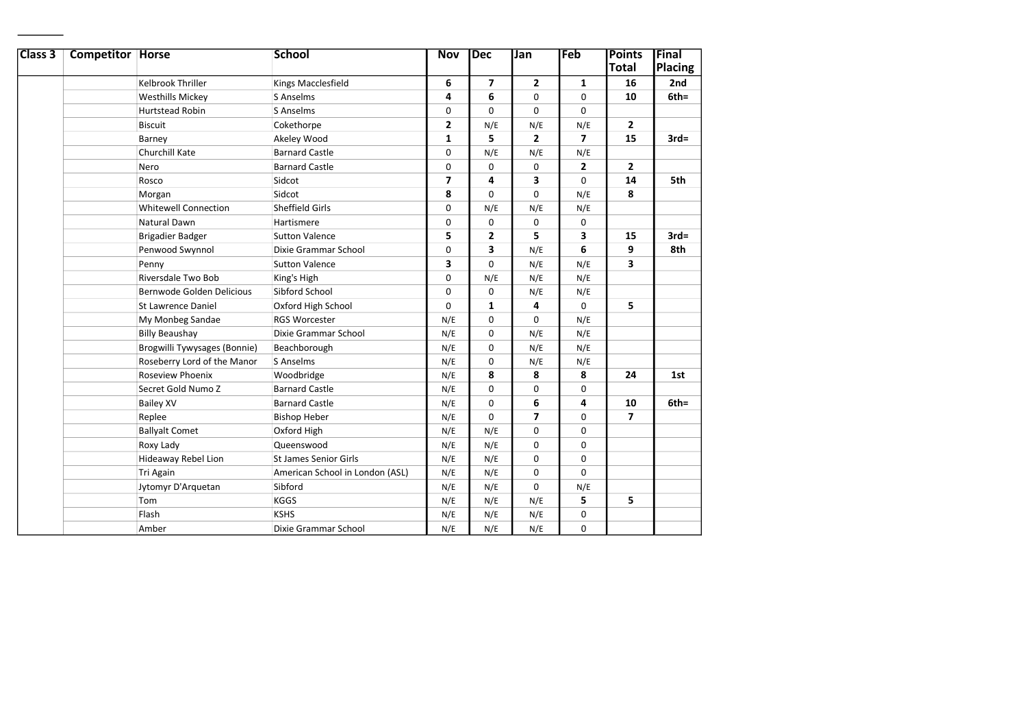| Class <sub>3</sub> | <b>Competitor Horse</b> |                              | <b>School</b>                   | <b>Nov</b>     | <b>Dec</b>               | Jan            | Feb                      | <b>Points</b>  | Final   |  |
|--------------------|-------------------------|------------------------------|---------------------------------|----------------|--------------------------|----------------|--------------------------|----------------|---------|--|
|                    |                         |                              |                                 |                |                          |                |                          | Total          | Placing |  |
|                    |                         | Kelbrook Thriller            | Kings Macclesfield              | 6              | $\overline{\phantom{a}}$ | $\overline{2}$ | $\mathbf{1}$             | 16             | 2nd     |  |
|                    |                         | <b>Westhills Mickey</b>      | S Anselms                       | 4              | 6                        | 0              | 0                        | 10             | $6th =$ |  |
|                    |                         | Hurtstead Robin              | S Anselms                       | 0              | $\Omega$                 | 0              | 0                        |                |         |  |
|                    |                         | <b>Biscuit</b>               | Cokethorpe                      | $\overline{2}$ | N/E                      | N/E            | N/E                      | $\mathbf{2}$   |         |  |
|                    |                         | Barney                       | Akeley Wood                     | 1              | 5                        | $\mathbf{2}$   | $\overline{\phantom{a}}$ | 15             | $3rd=$  |  |
|                    |                         | Churchill Kate               | <b>Barnard Castle</b>           | 0              | N/E                      | N/E            | N/E                      |                |         |  |
|                    |                         | Nero                         | <b>Barnard Castle</b>           | $\Omega$       | $\mathbf 0$              | 0              | $\overline{2}$           | $\overline{2}$ |         |  |
|                    |                         | Rosco                        | Sidcot                          | 7              | 4                        | 3              | $\Omega$                 | 14             | 5th     |  |
|                    |                         | Morgan                       | Sidcot                          | 8              | $\mathbf 0$              | 0              | N/E                      | 8              |         |  |
|                    |                         | <b>Whitewell Connection</b>  | <b>Sheffield Girls</b>          | 0              | N/E                      | N/E            | N/E                      |                |         |  |
|                    |                         | <b>Natural Dawn</b>          | Hartismere                      | 0              | $\mathbf 0$              | 0              | 0                        |                |         |  |
|                    |                         | Brigadier Badger             | <b>Sutton Valence</b>           | 5              | $\overline{2}$           | 5              | 3                        | 15             | $3rd=$  |  |
|                    |                         | Penwood Swynnol              | Dixie Grammar School            | 0              | 3                        | N/E            | 6                        | 9              | 8th     |  |
|                    |                         | Penny                        | <b>Sutton Valence</b>           | 3              | $\Omega$                 | N/E            | N/E                      | 3              |         |  |
|                    |                         | Riversdale Two Bob           | King's High                     | 0              | N/E                      | N/E            | N/E                      |                |         |  |
|                    |                         | Bernwode Golden Delicious    | Sibford School                  | 0              | 0                        | N/E            | N/E                      |                |         |  |
|                    |                         | <b>St Lawrence Daniel</b>    | Oxford High School              | 0              | $\mathbf{1}$             | 4              | $\Omega$                 | 5              |         |  |
|                    |                         | My Monbeg Sandae             | <b>RGS Worcester</b>            | N/E            | $\mathbf 0$              | 0              | N/E                      |                |         |  |
|                    |                         | <b>Billy Beaushay</b>        | Dixie Grammar School            | N/E            | $\mathbf 0$              | N/E            | N/E                      |                |         |  |
|                    |                         | Brogwilli Tywysages (Bonnie) | Beachborough                    | N/E            | 0                        | N/E            | N/E                      |                |         |  |
|                    |                         | Roseberry Lord of the Manor  | S Anselms                       | N/E            | $\mathbf 0$              | N/E            | N/E                      |                |         |  |
|                    |                         | Roseview Phoenix             | Woodbridge                      | N/E            | 8                        | 8              | 8                        | 24             | 1st     |  |
|                    |                         | Secret Gold Numo Z           | <b>Barnard Castle</b>           | N/E            | $\mathbf 0$              | 0              | $\mathbf 0$              |                |         |  |
|                    |                         | <b>Bailey XV</b>             | <b>Barnard Castle</b>           | N/E            | $\mathbf 0$              | 6              | 4                        | 10             | $6th =$ |  |
|                    |                         | Replee                       | <b>Bishop Heber</b>             | N/E            | $\Omega$                 | $\overline{ }$ | 0                        | $\overline{ }$ |         |  |
|                    |                         | <b>Ballyalt Comet</b>        | Oxford High                     | N/E            | N/E                      | 0              | 0                        |                |         |  |
|                    |                         | Roxy Lady                    | Queenswood                      | N/E            | N/E                      | 0              | 0                        |                |         |  |
|                    |                         | Hideaway Rebel Lion          | <b>St James Senior Girls</b>    | N/E            | N/E                      | $\mathbf 0$    | 0                        |                |         |  |
|                    |                         | <b>Tri Again</b>             | American School in London (ASL) | N/E            | N/E                      | $\mathbf 0$    | $\Omega$                 |                |         |  |
|                    |                         | Jytomyr D'Arquetan           | Sibford                         | N/E            | N/E                      | $\mathbf 0$    | N/E                      |                |         |  |
|                    |                         | Tom                          | <b>KGGS</b>                     | N/E            | N/E                      | N/E            | 5                        | 5              |         |  |
|                    |                         | Flash                        | <b>KSHS</b>                     | N/E            | N/E                      | N/E            | 0                        |                |         |  |
|                    |                         | Amber                        | Dixie Grammar School            | N/E            | N/E                      | N/E            | $\Omega$                 |                |         |  |